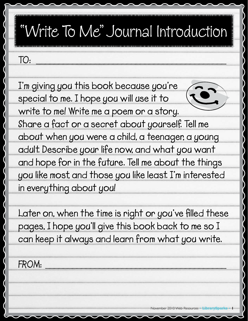## "Write To Me" Journal Introduction

## **TO: \_\_\_\_\_\_\_\_\_\_\_\_\_\_\_\_\_\_\_\_\_\_\_\_\_\_\_\_\_\_\_\_\_\_\_\_\_\_\_\_\_\_**

**I'm giving you this book because you're special to me. I hope you will use it to** 



**write to me! Write me a poem or a story. Share a fact or a secret about yourself. Tell me about when you were a child, a teenager, a young adult. Describe your life now, and what you want and hope for in the future. Tell me about the things you like most, and those you like least. I'm interested in everything about you!**

**Later on, when the time is right or you've filled these pages, I hope you'll give this book back to me so I can keep it always and learn from what you write.**

**FROM: \_\_\_\_\_\_\_\_\_\_\_\_\_\_\_\_\_\_\_\_\_\_\_\_\_\_\_\_\_\_\_\_\_\_\_\_\_\_\_\_**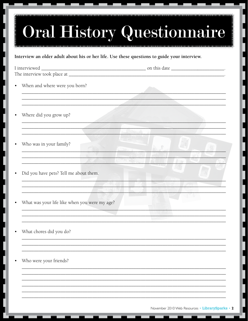|                                               | Interview an older adult about his or her life. Use these questions to guide your interview. |
|-----------------------------------------------|----------------------------------------------------------------------------------------------|
|                                               |                                                                                              |
| When and where were you born?                 |                                                                                              |
| Where did you grow up?                        |                                                                                              |
| Who was in your family?                       |                                                                                              |
| Did you have pets? Tell me about them.        |                                                                                              |
| What was your life like when you were my age? |                                                                                              |
| What chores did you do?                       |                                                                                              |
| Who were your friends?                        |                                                                                              |

L

L

ı

I

 $\overline{\phantom{a}}$ 

j

L

 $\overline{\mathsf{L}}$ 

I

L

İ

L

֖֧֧ׅ֧֧֧֪ׅ֧֪ׅ֧ׅ֧֧֧֧֧֧֧֧֧֧֧֧֧֧֧֧֧֧֧֧֧֚֚֚֚֚֚֚֚֚֚֚֚֚֚֚֚֚֚֚֡֕֘֕֡֡֓֡֓֡֓֡֬֓֡֟֓֡֓֡֓֓֡֓֡֟֓֡֟֓֡֟֓֡֬֓֓֞֝֬֝֓֝<br>֧֧֪֪֧֪֧֪֪֪֪֪֪֜֜֟

İ

ı L

ı

l

L

ı

д

T.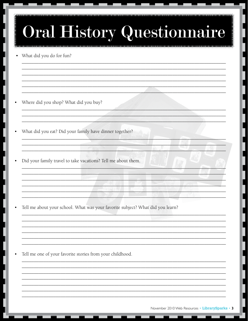| <b>Oral History Questionnaire</b>                                              |
|--------------------------------------------------------------------------------|
| What did you do for fun?                                                       |
| Where did you shop? What did you buy?                                          |
| What did you eat? Did your family have dinner together?                        |
| Did your family travel to take vacations? Tell me about them.                  |
| Tell me about your school. What was your favorite subject? What did you learn? |
| Tell me one of your favorite stories from your childhood.                      |
|                                                                                |

L

 $\overline{\phantom{a}}$ 

L

L

 $\overline{\phantom{a}}$ 

 $\overline{\phantom{a}}$ 

 $\overline{\phantom{a}}$ 

 $\overline{\phantom{a}}$ 

 $\overline{\phantom{a}}$ 

ı

L

 $\overline{\phantom{a}}$ 

I

L

I

I

L

İ

Л

E.